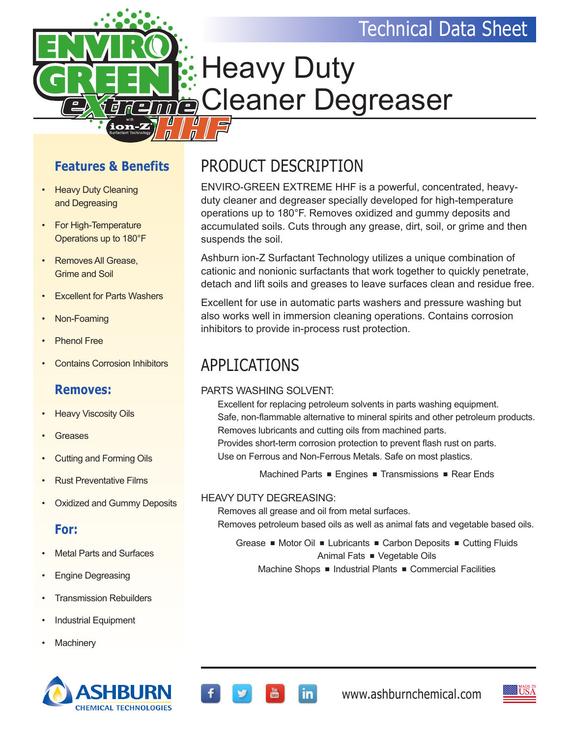### Technical Data Sheet



# Heavy Duty Cleaner Degreaser

#### **Features & Benefits**

- Heavy Duty Cleaning and Degreasing
- For High-Temperature Operations up to 180°F
- Removes All Grease, Grime and Soil
- **Excellent for Parts Washers**
- Non-Foaming
- Phenol Free
- Contains Corrosion Inhibitors

#### **Removes:**

- Heavy Viscosity Oils
- **Greases**
- Cutting and Forming Oils
- Rust Preventative Films
- Oxidized and Gummy Deposits

#### **For:**

- **Metal Parts and Surfaces**
- Engine Degreasing
- **Transmission Rebuilders**
- Industrial Equipment
- **Machinery**



### PRODUCT DESCRIPTION

ENVIRO-GREEN EXTREME HHF is a powerful, concentrated, heavyduty cleaner and degreaser specially developed for high-temperature operations up to 180°F. Removes oxidized and gummy deposits and accumulated soils. Cuts through any grease, dirt, soil, or grime and then suspends the soil.

Ashburn ion-Z Surfactant Technology utilizes a unique combination of cationic and nonionic surfactants that work together to quickly penetrate, detach and lift soils and greases to leave surfaces clean and residue free.

Excellent for use in automatic parts washers and pressure washing but also works well in immersion cleaning operations. Contains corrosion inhibitors to provide in-process rust protection.

### APPLICATIONS

#### PARTS WASHING SOLVENT:

Excellent for replacing petroleum solvents in parts washing equipment. Safe, non-flammable alternative to mineral spirits and other petroleum products. Removes lubricants and cutting oils from machined parts. Provides short-term corrosion protection to prevent flash rust on parts. Use on Ferrous and Non-Ferrous Metals. Safe on most plastics.

Machined Parts  $\blacksquare$  Engines  $\blacksquare$  Transmissions  $\blacksquare$  Rear Ends

#### HEAVY DUTY DEGREASING:

Removes all grease and oil from metal surfaces.

in l

Removes petroleum based oils as well as animal fats and vegetable based oils.

Grease • Motor Oil • Lubricants • Carbon Deposits • Cutting Fluids Animal Fats  $\blacksquare$  Vegetable Oils Machine Shops  $\blacksquare$  Industrial Plants  $\blacksquare$  Commercial Facilities